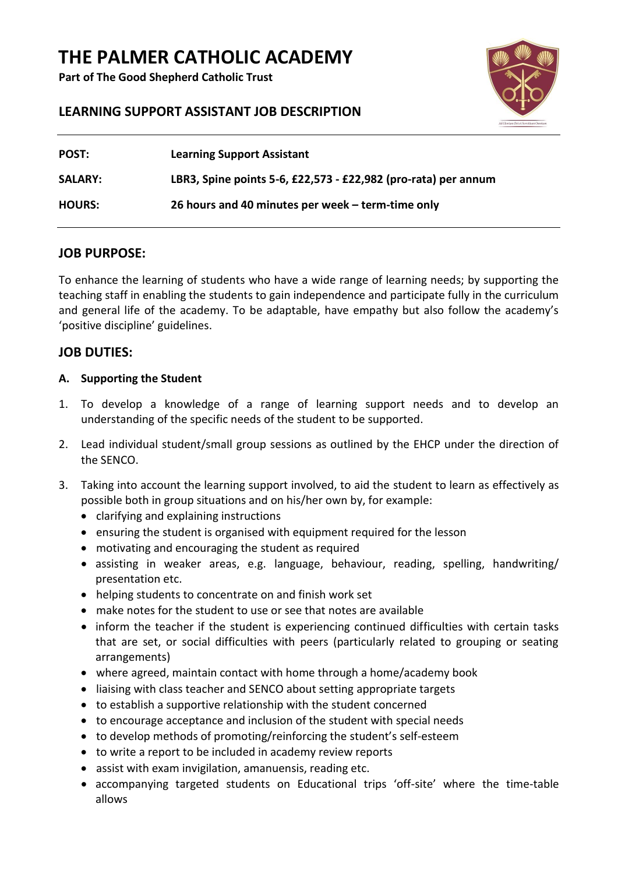## **THE PALMER CATHOLIC ACADEMY**

**Part of The Good Shepherd Catholic Trust**



#### **LEARNING SUPPORT ASSISTANT JOB DESCRIPTION**

| <b>POST:</b>   | <b>Learning Support Assistant</b>                              |
|----------------|----------------------------------------------------------------|
| <b>SALARY:</b> | LBR3, Spine points 5-6, £22,573 - £22,982 (pro-rata) per annum |
| <b>HOURS:</b>  | 26 hours and 40 minutes per week – term-time only              |

#### **JOB PURPOSE:**

To enhance the learning of students who have a wide range of learning needs; by supporting the teaching staff in enabling the students to gain independence and participate fully in the curriculum and general life of the academy. To be adaptable, have empathy but also follow the academy's 'positive discipline' guidelines.

#### **JOB DUTIES:**

#### **A. Supporting the Student**

- 1. To develop a knowledge of a range of learning support needs and to develop an understanding of the specific needs of the student to be supported.
- 2. Lead individual student/small group sessions as outlined by the EHCP under the direction of the SENCO.
- 3. Taking into account the learning support involved, to aid the student to learn as effectively as possible both in group situations and on his/her own by, for example:
	- clarifying and explaining instructions
	- ensuring the student is organised with equipment required for the lesson
	- motivating and encouraging the student as required
	- assisting in weaker areas, e.g. language, behaviour, reading, spelling, handwriting/ presentation etc.
	- helping students to concentrate on and finish work set
	- make notes for the student to use or see that notes are available
	- inform the teacher if the student is experiencing continued difficulties with certain tasks that are set, or social difficulties with peers (particularly related to grouping or seating arrangements)
	- where agreed, maintain contact with home through a home/academy book
	- liaising with class teacher and SENCO about setting appropriate targets
	- to establish a supportive relationship with the student concerned
	- to encourage acceptance and inclusion of the student with special needs
	- to develop methods of promoting/reinforcing the student's self-esteem
	- to write a report to be included in academy review reports
	- assist with exam invigilation, amanuensis, reading etc.
	- accompanying targeted students on Educational trips 'off-site' where the time-table allows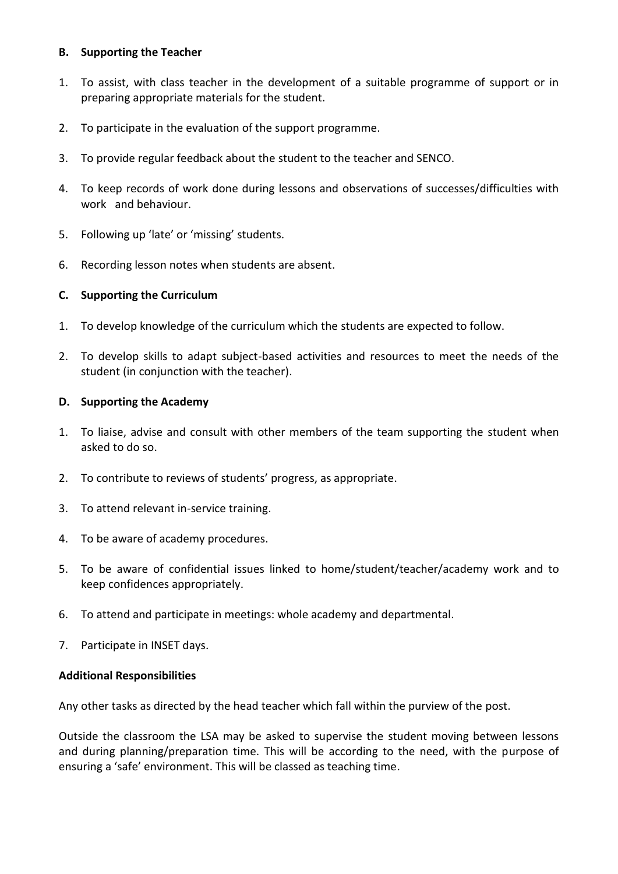#### **B. Supporting the Teacher**

- 1. To assist, with class teacher in the development of a suitable programme of support or in preparing appropriate materials for the student.
- 2. To participate in the evaluation of the support programme.
- 3. To provide regular feedback about the student to the teacher and SENCO.
- 4. To keep records of work done during lessons and observations of successes/difficulties with work and behaviour.
- 5. Following up 'late' or 'missing' students.
- 6. Recording lesson notes when students are absent.

#### **C. Supporting the Curriculum**

- 1. To develop knowledge of the curriculum which the students are expected to follow.
- 2. To develop skills to adapt subject-based activities and resources to meet the needs of the student (in conjunction with the teacher).

#### **D. Supporting the Academy**

- 1. To liaise, advise and consult with other members of the team supporting the student when asked to do so.
- 2. To contribute to reviews of students' progress, as appropriate.
- 3. To attend relevant in-service training.
- 4. To be aware of academy procedures.
- 5. To be aware of confidential issues linked to home/student/teacher/academy work and to keep confidences appropriately.
- 6. To attend and participate in meetings: whole academy and departmental.
- 7. Participate in INSET days.

#### **Additional Responsibilities**

Any other tasks as directed by the head teacher which fall within the purview of the post.

Outside the classroom the LSA may be asked to supervise the student moving between lessons and during planning/preparation time. This will be according to the need, with the purpose of ensuring a 'safe' environment. This will be classed as teaching time.